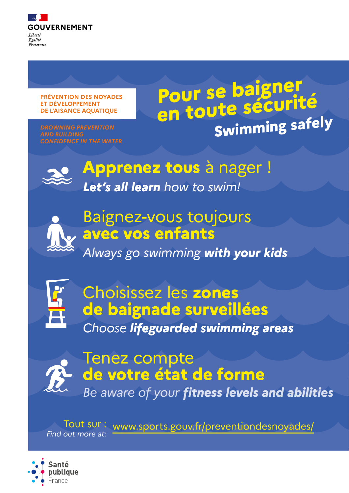

Liberté Égalité Fraternité

# Pour se baigner **en toute sécurité Swimming safely**



*Always go swimming with your kids*



### Baignez-vous toujours **avec vos enfants**

**Apprenez tous** à nager ! *Let's all learn how to swim!*



### *Be aware of your fitness levels and abilities* **de votre état de forme**

Tenez compte

**PRÉVENTION DES NOYADES ET DÉVELOPPEMENT DE L'AISANCE AQUATIQUE**

*DROWNING PREVENTION AND BUILDING CONFIDENCE IN THE WATER*

> *Choose lifeguarded swimming areas* Choisissez les **zones de baignade surveillées**



## Tout sur : *Find out more at:* www.sports.gouv.fr/preventiondesnoyades/